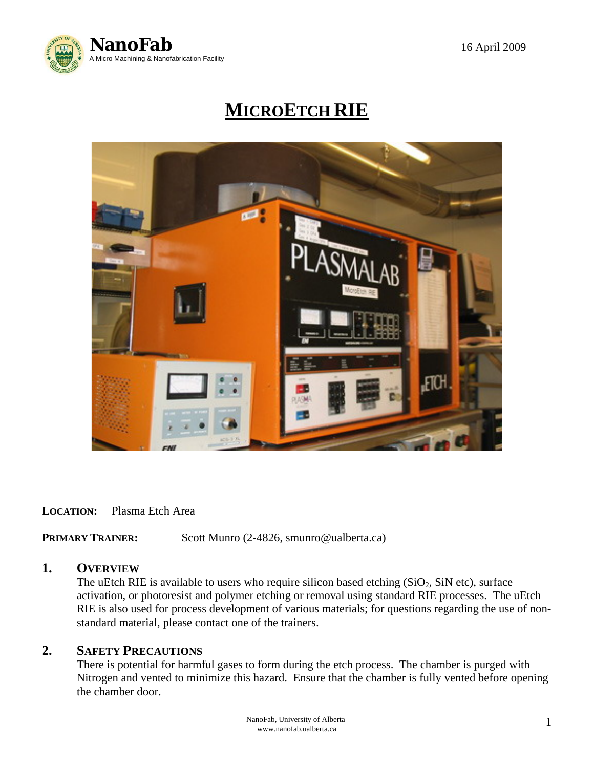

# **MICROETCH RIE**



#### **LOCATION:** Plasma Etch Area

**PRIMARY TRAINER:** Scott Munro (2-4826, smunro@ualberta.ca)

## **1. OVERVIEW**

The uEtch RIE is available to users who require silicon based etching  $(SiO<sub>2</sub>, SiN etc)$ , surface activation, or photoresist and polymer etching or removal using standard RIE processes. The uEtch RIE is also used for process development of various materials; for questions regarding the use of non standard material, please contact one of the trainers.

## **2. SAFETY PRECAUTIONS**

 There is potential for harmful gases to form during the etch process. The chamber is purged with Nitrogen and vented to minimize this hazard. Ensure that the chamber is fully vented before opening the chamber door.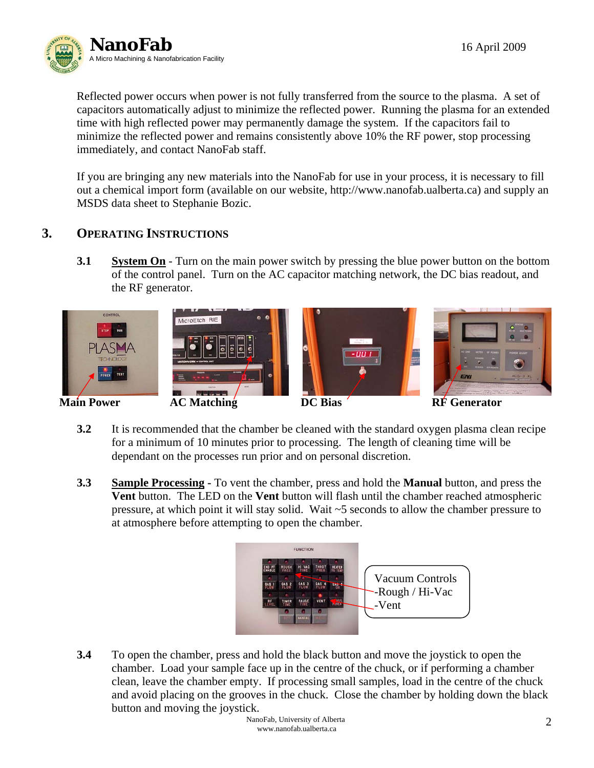

 Reflected power occurs when power is not fully transferred from the source to the plasma. A set of capacitors automatically adjust to minimize the reflected power. Running the plasma for an extended time with high reflected power may permanently damage the system. If the capacitors fail to minimize the reflected power and remains consistently above 10% the RF power, stop processing immediately, and contact NanoFab staff.

 If you are bringing any new materials into the NanoFab for use in your process, it is necessary to fill out a chemical import form (available on our website, http://www.nanofab.ualberta.ca) and supply an MSDS data sheet to Stephanie Bozic.

# **3. OPERATING INSTRUCTIONS**

**3.1 System On** - Turn on the main power switch by pressing the blue power button on the bottom of the control panel. Turn on the AC capacitor matching network, the DC bias readout, and the RF generator.



- **3.2** It is recommended that the chamber be cleaned with the standard oxygen plasma clean recipe for a minimum of 10 minutes prior to processing. The length of cleaning time will be dependant on the processes run prior and on personal discretion.
- **3.3 Sample Processing** To vent the chamber, press and hold the **Manual** button, and press the **Vent** button. The LED on the **Vent** button will flash until the chamber reached atmospheric pressure, at which point it will stay solid. Wait ~5 seconds to allow the chamber pressure to at atmosphere before attempting to open the chamber.



**3.4** To open the chamber, press and hold the black button and move the joystick to open the chamber. Load your sample face up in the centre of the chuck, or if performing a chamber clean, leave the chamber empty. If processing small samples, load in the centre of the chuck and avoid placing on the grooves in the chuck. Close the chamber by holding down the black button and moving the joystick.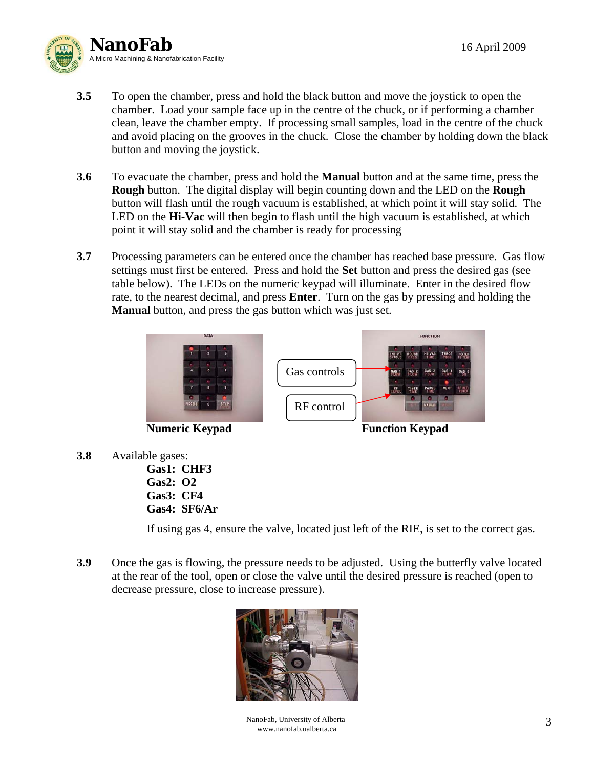

- **3.5** To open the chamber, press and hold the black button and move the joystick to open the chamber. Load your sample face up in the centre of the chuck, or if performing a chamber clean, leave the chamber empty. If processing small samples, load in the centre of the chuck and avoid placing on the grooves in the chuck. Close the chamber by holding down the black button and moving the joystick.
- **3.6** To evacuate the chamber, press and hold the **Manual** button and at the same time, press the **Rough** button. The digital display will begin counting down and the LED on the **Rough** button will flash until the rough vacuum is established, at which point it will stay solid. The LED on the **Hi-Vac** will then begin to flash until the high vacuum is established, at which point it will stay solid and the chamber is ready for processing
- **3.7** Processing parameters can be entered once the chamber has reached base pressure. Gas flow settings must first be entered. Press and hold the **Set** button and press the desired gas (see table below). The LEDs on the numeric keypad will illuminate. Enter in the desired flow rate, to the nearest decimal, and press **Enter**. Turn on the gas by pressing and holding the **Manual** button, and press the gas button which was just set.



**Numeric Keypad Function Keypad** 

- **3.8** Available gases:
	- **Gas1: CHF3 Gas2: O2 Gas3: CF4 Gas4: SF6/Ar**

If using gas 4, ensure the valve, located just left of the RIE, is set to the correct gas.

**3.9** Once the gas is flowing, the pressure needs to be adjusted. Using the butterfly valve located at the rear of the tool, open or close the valve until the desired pressure is reached (open to decrease pressure, close to increase pressure).



NanoFab, University of Alberta www.nanofab.ualberta.ca 3